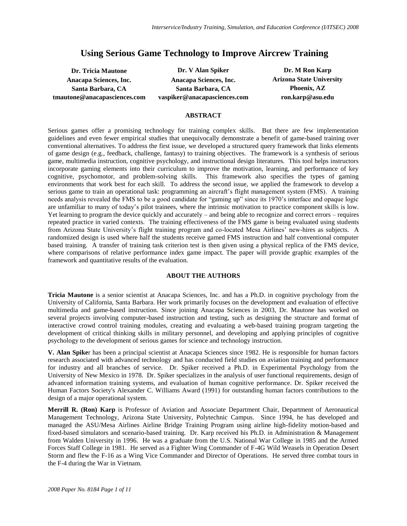# **Using Serious Game Technology to Improve Aircrew Training**

**tmautone@anacapasciences.com vaspiker@anacapasciences.com ron.karp@asu.edu**

**Dr. Tricia Mautone Dr. V Alan Spiker Dr. M Ron Karp Anacapa Sciences, Inc. Anacapa Sciences, Inc. Arizona State University Santa Barbara, CA Santa Barbara, CA Phoenix, AZ**

#### **ABSTRACT**

Serious games offer a promising technology for training complex skills. But there are few implementation guidelines and even fewer empirical studies that unequivocally demonstrate a benefit of game-based training over conventional alternatives. To address the first issue, we developed a structured query framework that links elements of game design (e.g., feedback, challenge, fantasy) to training objectives. The framework is a synthesis of serious game, multimedia instruction, cognitive psychology, and instructional design literatures. This tool helps instructors incorporate gaming elements into their curriculum to improve the motivation, learning, and performance of key cognitive, psychomotor, and problem-solving skills. This framework also specifies the types of gaming environments that work best for each skill. To address the second issue, we applied the framework to develop a serious game to train an operational task: programming an aircraft's flight management system (FMS). A training needs analysis revealed the FMS to be a good candidate for "gaming up" since its 1970's interface and opaque logic are unfamiliar to many of today's pilot trainees, where the intrinsic motivation to practice component skills is low. Yet learning to program the device quickly and accurately – and being able to recognize and correct errors – requires repeated practice in varied contexts. The training effectiveness of the FMS game is being evaluated using students from Arizona State University's flight training program and co-located Mesa Airlines' new-hires as subjects. A randomized design is used where half the students receive gamed FMS instruction and half conventional computer based training. A transfer of training task criterion test is then given using a physical replica of the FMS device, where comparisons of relative performance index game impact. The paper will provide graphic examples of the framework and quantitative results of the evaluation.

#### **ABOUT THE AUTHORS**

**Tricia Mautone** is a senior scientist at Anacapa Sciences, Inc. and has a Ph.D. in cognitive psychology from the University of California, Santa Barbara. Her work primarily focuses on the development and evaluation of effective multimedia and game-based instruction. Since joining Anacapa Sciences in 2003, Dr. Mautone has worked on several projects involving computer-based instruction and testing, such as designing the structure and format of interactive crowd control training modules, creating and evaluating a web-based training program targeting the development of critical thinking skills in military personnel, and developing and applying principles of cognitive psychology to the development of serious games for science and technology instruction.

**V. Alan Spike**r has been a principal scientist at Anacapa Sciences since 1982. He is responsible for human factors research associated with advanced technology and has conducted field studies on aviation training and performance for industry and all branches of service. Dr. Spiker received a Ph.D. in Experimental Psychology from the University of New Mexico in 1978. Dr. Spiker specializes in the analysis of user functional requirements, design of advanced information training systems, and evaluation of human cognitive performance. Dr. Spiker received the Human Factors Society's Alexander C. Williams Award (1991) for outstanding human factors contributions to the design of a major operational system.

**Merrill R. (Ron) Karp** is Professor of Aviation and Associate Department Chair, Department of Aeronautical Management Technology, Arizona State University, Polytechnic Campus. Since 1994, he has developed and managed the ASU/Mesa Airlines Airline Bridge Training Program using airline high-fidelity motion-based and fixed-based simulators and scenario-based training. Dr. Karp received his Ph.D. in Administration & Management from Walden University in 1996. He was a graduate from the U.S. National War College in 1985 and the Armed Forces Staff College in 1981. He served as a Fighter Wing Commander of F-4G Wild Weasels in Operation Desert Storm and flew the F-16 as a Wing Vice Commander and Director of Operations. He served three combat tours in the F-4 during the War in Vietnam.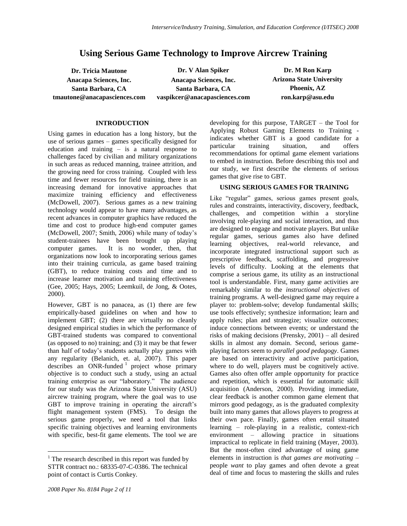## **Using Serious Game Technology to Improve Aircrew Training**

**Dr. Tricia Mautone Dr. V Alan Spiker Dr. M Ron Karp Anacapa Sciences, Inc. Anacapa Sciences, Inc. Arizona State University Santa Barbara, CA Santa Barbara, CA Phoenix, AZ tmautone@anacapasciences.com vaspikcer@anacapasciences.com ron.karp@asu.edu**

#### **INTRODUCTION**

Using games in education has a long history, but the use of serious games – games specifically designed for education and training – is a natural response to challenges faced by civilian and military organizations in such areas as reduced manning, trainee attrition, and the growing need for cross training. Coupled with less time and fewer resources for field training, there is an increasing demand for innovative approaches that maximize training efficiency and effectiveness (McDowell, 2007). Serious games as a new training technology would appear to have many advantages, as recent advances in computer graphics have reduced the time and cost to produce high-end computer games (McDowell, 2007; Smith, 2006) while many of today's student-trainees have been brought up playing computer games. It is no wonder, then, that organizations now look to incorporating serious games into their training curricula, as game based training (GBT), to reduce training costs and time and to increase learner motivation and training effectiveness (Gee, 2005; Hays, 2005; Leemkuil, de Jong, & Ootes, 2000).

However, GBT is no panacea, as (1) there are few empirically-based guidelines on when and how to implement GBT; (2) there are virtually no cleanly designed empirical studies in which the performance of GBT-trained students was compared to conventional (as opposed to no) training; and (3) it may be that fewer than half of today's students actually play games with any regularity (Belanich, et. al, 2007). This paper describes an ONR-funded  $\frac{1}{1}$  project whose primary objective is to conduct such a study, using an actual training enterprise as our "laboratory." The audience for our study was the Arizona State University (ASU) aircrew training program, where the goal was to use GBT to improve training in operating the aircraft's flight management system (FMS). To design the serious game properly, we need a tool that links specific training objectives and learning environments with specific, best-fit game elements. The tool we are

 $\overline{a}$ 

developing for this purpose, TARGET – the Tool for Applying Robust Gaming Elements to Training indicates whether GBT is a good candidate for a particular training situation, and offers recommendations for optimal game element variations to embed in instruction. Before describing this tool and our study, we first describe the elements of serious games that give rise to GBT.

#### **USING SERIOUS GAMES FOR TRAINING**

Like "regular" games, serious games present goals, rules and constraints, interactivity, discovery, feedback, challenges, and competition within a storyline involving role-playing and social interaction, and thus are designed to engage and motivate players. But unlike regular games, serious games also have defined learning objectives, real-world relevance, and incorporate integrated instructional support such as prescriptive feedback, scaffolding, and progressive levels of difficulty. Looking at the elements that comprise a serious game, its utility as an instructional tool is understandable. First, many game activities are remarkably similar to the *instructional objectives* of training programs. A well-designed game may require a player to: problem-solve; develop fundamental skills; use tools effectively; synthesize information; learn and apply rules; plan and strategize; visualize outcomes; induce connections between events; or understand the risks of making decisions (Prensky, 2001) – all desired skills in almost any domain. Second, serious gameplaying factors seem to *parallel good pedagogy*. Games are based on interactivity and active participation, where to do well, players must be cognitively active. Games also often offer ample opportunity for practice and repetition, which is essential for automatic skill acquisition (Anderson, 2000). Providing immediate, clear feedback is another common game element that mirrors good pedagogy, as is the graduated complexity built into many games that allows players to progress at their own pace. Finally, games often entail situated learning – role-playing in a realistic, context-rich environment – allowing practice in situations impractical to replicate in field training (Mayer, 2003). But the most-often cited advantage of using game elements in instruction is *that games are motivating* – people *want* to play games and often devote a great deal of time and focus to mastering the skills and rules

 $<sup>1</sup>$  The research described in this report was funded by</sup> STTR contract no.: 68335-07-C-0386. The technical point of contact is Curtis Conkey.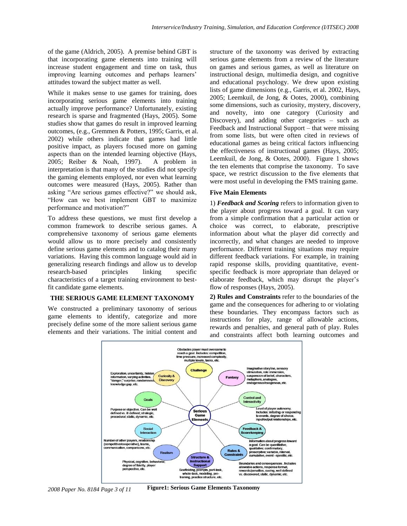of the game (Aldrich, 2005). A premise behind GBT is that incorporating game elements into training will increase student engagement and time on task, thus improving learning outcomes and perhaps learners' attitudes toward the subject matter as well.

While it makes sense to use games for training, does incorporating serious game elements into training actually improve performance? Unfortunately, existing research is sparse and fragmented (Hays, 2005). Some studies show that games do result in improved learning outcomes, (e.g., Gremmen & Potters, 1995; Garris, et al. 2002) while others indicate that games had little positive impact, as players focused more on gaming aspects than on the intended learning objective (Hays, 2005; Reiber & Noah, 1997). A problem in interpretation is that many of the studies did not specify the gaming elements employed, nor even what learning outcomes were measured (Hays, 2005). Rather than asking "Are serious games effective?" we should ask, "How can we best implement GBT to maximize performance and motivation?"

To address these questions, we must first develop a common framework to describe serious games. A comprehensive taxonomy of serious game elements would allow us to more precisely and consistently define serious game elements and to catalog their many variations. Having this common language would aid in generalizing research findings and allow us to develop research-based principles linking specific characteristics of a target training environment to bestfit candidate game elements.

## **THE SERIOUS GAME ELEMENT TAXONOMY**

We constructed a preliminary taxonomy of serious game elements to identify, categorize and more precisely define some of the more salient serious game elements and their variations. The initial content and structure of the taxonomy was derived by extracting serious game elements from a review of the literature on games and serious games, as well as literature on instructional design, multimedia design, and cognitive and educational psychology. We drew upon existing lists of game dimensions (e.g., Garris, et al. 2002, Hays, 2005; Leemkuil, de Jong, & Ootes, 2000), combining some dimensions, such as curiosity, mystery, discovery, and novelty, into one category (Curiosity and Discovery), and adding other categories – such as Feedback and Instructional Support – that were missing from some lists, but were often cited in reviews of educational games as being critical factors influencing the effectiveness of instructional games (Hays, 2005; Leemkuil, de Jong, & Ootes, 2000). Figure 1 shows the ten elements that comprise the taxonomy. To save space, we restrict discussion to the five elements that were most useful in developing the FMS training game.

#### **Five Main Elements**

1) *Feedback and Scoring* refers to information given to the player about progress toward a goal. It can vary from a simple confirmation that a particular action or choice was correct, to elaborate, prescriptive information about what the player did correctly and incorrectly, and what changes are needed to improve performance. Different training situations may require different feedback variations. For example, in training rapid response skills, providing quantitative, eventspecific feedback is more appropriate than delayed or elaborate feedback, which may disrupt the player's flow of responses (Hays, 2005).

**2) Rules and Constraints** refer to the boundaries of the game and the consequences for adhering to or violating these boundaries. They encompass factors such as instructions for play, range of allowable actions, rewards and penalties, and general path of play. Rules and constraints affect both learning outcomes and



*2008 Paper No. 8184 Page 3 of 11* **Figure1: Serious Game Elements Taxonomy**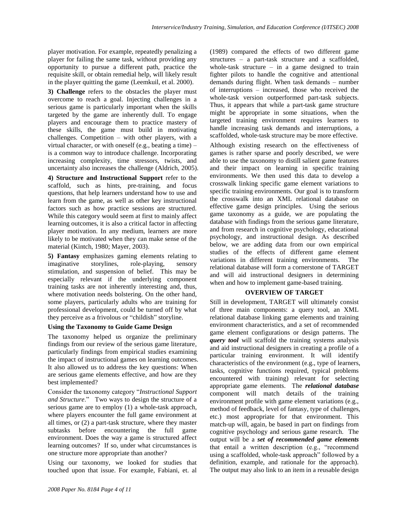player motivation. For example, repeatedly penalizing a player for failing the same task, without providing any opportunity to pursue a different path, practice the requisite skill, or obtain remedial help, will likely result in the player quitting the game (Leemkuil, et al. 2000).

**3) Challenge** refers to the obstacles the player must overcome to reach a goal. Injecting challenges in a serious game is particularly important when the skills targeted by the game are inherently dull. To engage players and encourage them to practice mastery of these skills, the game must build in motivating challenges. Competition – with other players, with a virtual character, or with oneself (e.g., beating a time) – is a common way to introduce challenge. Incorporating increasing complexity, time stressors, twists, and uncertainty also increases the challenge (Aldrich, 2005).

**4) Structure and Instructional Support** refer to the scaffold, such as hints, pre-training, and focus questions, that help learners understand how to use and learn from the game, as well as other key instructional factors such as how practice sessions are structured. While this category would seem at first to mainly affect learning outcomes, it is also a critical factor in affecting player motivation. In any medium, learners are more likely to be motivated when they can make sense of the material (Kintch, 1980; Mayer, 2003).

**5) Fantasy** emphasizes gaming elements relating to imaginative storylines, role-playing, sensory stimulation, and suspension of belief. This may be especially relevant if the underlying component training tasks are not inherently interesting and, thus, where motivation needs bolstering. On the other hand, some players, particularly adults who are training for professional development, could be turned off by what they perceive as a frivolous or "childish" storyline.

#### **Using the Taxonomy to Guide Game Design**

The taxonomy helped us organize the preliminary findings from our review of the serious game literature, particularly findings from empirical studies examining the impact of instructional games on learning outcomes. It also allowed us to address the key questions: When are serious game elements effective, and how are they best implemented?

Consider the taxonomy category "*Instructional Support and Structure*." Two ways to design the structure of a serious game are to employ (1) a whole-task approach, where players encounter the full game environment at all times, or (2) a part-task structure, where they master subtasks before encountering the full game environment. Does the way a game is structured affect learning outcomes? If so, under what circumstances is one structure more appropriate than another?

Using our taxonomy, we looked for studies that touched upon that issue. For example, Fabiani, et. al (1989) compared the effects of two different game structures – a part-task structure and a scaffolded, whole-task structure – in a game designed to train fighter pilots to handle the cognitive and attentional demands during flight. When task demands – number of interruptions – increased, those who received the whole-task version outperformed part-task subjects. Thus, it appears that while a part-task game structure might be appropriate in some situations, when the targeted training environment requires learners to handle increasing task demands and interruptions, a scaffolded, whole-task structure may be more effective.

Although existing research on the effectiveness of games is rather sparse and poorly described, we were able to use the taxonomy to distill salient game features and their impact on learning in specific training environments. We then used this data to develop a crosswalk linking specific game element variations to specific training environments. Our goal is to transform the crosswalk into an XML relational database on effective game design principles. Using the serious game taxonomy as a guide, we are populating the database with findings from the serious game literature, and from research in cognitive psychology, educational psychology, and instructional design. As described below, we are adding data from our own empirical studies of the effects of different game element variations in different training environments. The relational database will form a cornerstone of TARGET and will aid instructional designers in determining when and how to implement game-based training.

#### **OVERVIEW OF TARGET**

Still in development, TARGET will ultimately consist of three main components: a query tool, an XML relational database linking game elements and training environment characteristics, and a set of recommended game element configurations or design patterns. The *query tool* will scaffold the training systems analysis and aid instructional designers in creating a profile of a particular training environment. It will identify characteristics of the environment (e.g., type of learners, tasks, cognitive functions required, typical problems encountered with training) relevant for selecting appropriate game elements. The *relational database* component will match details of the training environment profile with game element variations (e.g., method of feedback, level of fantasy, type of challenges, etc.) most appropriate for that environment. This match-up will, again, be based in part on findings from cognitive psychology and serious game research. The output will be a *set of recommended game elements* that entail a written description (e.g., "recommend using a scaffolded, whole-task approach" followed by a definition, example, and rationale for the approach). The output may also link to an item in a reusable design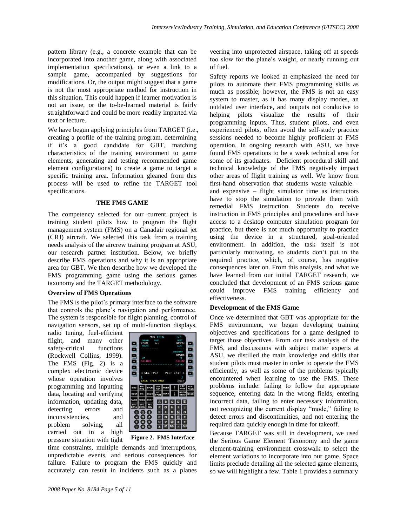pattern library (e.g., a concrete example that can be incorporated into another game, along with associated implementation specifications), or even a link to a sample game, accompanied by suggestions for modifications. Or, the output might suggest that a game is not the most appropriate method for instruction in this situation. This could happen if learner motivation is not an issue, or the to-be-learned material is fairly straightforward and could be more readily imparted via text or lecture.

We have begun applying principles from TARGET (i.e., creating a profile of the training program, determining if it's a good candidate for GBT, matching characteristics of the training environment to game elements, generating and testing recommended game element configurations) to create a game to target a specific training area. Information gleaned from this process will be used to refine the TARGET tool specifications.

#### **THE FMS GAME**

The competency selected for our current project is training student pilots how to program the flight management system (FMS) on a Canadair regional jet (CRJ) aircraft. We selected this task from a training needs analysis of the aircrew training program at ASU, our research partner institution. Below, we briefly describe FMS operations and why it is an appropriate area for GBT. We then describe how we developed the FMS programming game using the serious games taxonomy and the TARGET methodology.

#### **Overview of FMS Operations**

The FMS is the pilot's primary interface to the software that controls the plane's navigation and performance. The system is responsible for flight planning, control of navigation sensors, set up of multi-function displays,

radio tuning, fuel-efficient flight, and many other safety-critical functions (Rockwell Collins, 1999). The FMS (Fig. 2) is a complex electronic device whose operation involves programming and inputting data, locating and verifying information, updating data, detecting errors and inconsistencies, and problem solving, all carried out in a high pressure situation with tight



**Figure 2. FMS Interface**

time constraints, multiple demands and interruptions, unpredictable events, and serious consequences for failure. Failure to program the FMS quickly and accurately can result in incidents such as a planes veering into unprotected airspace, taking off at speeds too slow for the plane's weight, or nearly running out of fuel.

Safety reports we looked at emphasized the need for pilots to automate their FMS programming skills as much as possible; however, the FMS is not an easy system to master, as it has many display modes, an outdated user interface, and outputs not conducive to helping pilots visualize the results of their programming inputs. Thus, student pilots, and even experienced pilots, often avoid the self-study practice sessions needed to become highly proficient at FMS operation. In ongoing research with ASU, we have found FMS operations to be a weak technical area for some of its graduates. Deficient procedural skill and technical knowledge of the FMS negatively impact other areas of flight training as well. We know from first-hand observation that students waste valuable – and expensive – flight simulator time as instructors have to stop the simulation to provide them with remedial FMS instruction. Students do receive instruction in FMS principles and procedures and have access to a desktop computer simulation program for practice, but there is not much opportunity to practice using the device in a structured, goal-oriented environment. In addition, the task itself is not particularly motivating, so students don't put in the required practice, which, of course, has negative consequences later on. From this analysis, and what we have learned from our initial TARGET research, we concluded that development of an FMS serious game could improve FMS training efficiency and effectiveness.

## **Development of the FMS Game**

Once we determined that GBT was appropriate for the FMS environment, we began developing training objectives and specifications for a game designed to target those objectives. From our task analysis of the FMS, and discussions with subject matter experts at ASU, we distilled the main knowledge and skills that student pilots must master in order to operate the FMS efficiently, as well as some of the problems typically encountered when learning to use the FMS. These problems include: failing to follow the appropriate sequence, entering data in the wrong fields, entering incorrect data, failing to enter necessary information, not recognizing the current display "mode," failing to detect errors and discontinuities, and not entering the required data quickly enough in time for takeoff.

Because TARGET was still in development, we used the Serious Game Element Taxonomy and the game element-training environment crosswalk to select the element variations to incorporate into our game. Space limits preclude detailing all the selected game elements, so we will highlight a few. Table 1 provides a summary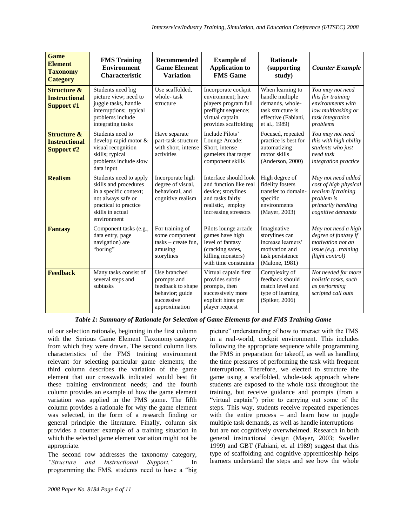| <b>Game</b><br><b>Element</b><br><b>Taxonomy</b><br><b>Category</b> | <b>FMS Training</b><br><b>Environment</b><br><b>Characteristic</b>                                                                                          | Recommended<br><b>Game Element</b><br><b>Variation</b>                                             | <b>Example of</b><br><b>Application to</b><br><b>FMS</b> Game                                                                          | <b>Rationale</b><br><i>(supporting)</i><br>study)                                                                   | <b>Counter Example</b>                                                                                                      |
|---------------------------------------------------------------------|-------------------------------------------------------------------------------------------------------------------------------------------------------------|----------------------------------------------------------------------------------------------------|----------------------------------------------------------------------------------------------------------------------------------------|---------------------------------------------------------------------------------------------------------------------|-----------------------------------------------------------------------------------------------------------------------------|
| <b>Structure &amp;</b><br><b>Instructional</b><br>Support #1        | Students need big<br>picture view; need to<br>juggle tasks, handle<br>interruptions; typical<br>problems include<br>integrating tasks                       | Use scaffolded,<br>whole-task<br>structure                                                         | Incorporate cockpit<br>environment; have<br>players program full<br>preflight sequence;<br>virtual captain<br>provides scaffolding     | When learning to<br>handle multiple<br>demands, whole-<br>task structure is<br>effective (Fabiani,<br>et al., 1989) | You may not need<br>this for training<br>environments with<br>low multitasking or<br>task integration<br>problems           |
| <b>Structure &amp;</b><br><b>Instructional</b><br>Support #2        | Students need to<br>develop rapid motor &<br>visual recognition<br>skills; typical<br>problems include slow<br>data input                                   | Have separate<br>part-task structure<br>with short, intense<br>activities                          | Include Pilots'<br>Lounge Arcade:<br>Short, intense<br>gamelets that target<br>component skills                                        | Focused, repeated<br>practice is best for<br>automatizing<br>motor skills<br>(Anderson, 2000)                       | You may not need<br>this with high ability<br>students who just<br>need task<br>integration practice                        |
| <b>Realism</b>                                                      | Students need to apply<br>skills and procedures<br>in a specific context;<br>not always safe or<br>practical to practice<br>skills in actual<br>environment | Incorporate high<br>degree of visual,<br>behavioral, and<br>cognitive realism                      | Interface should look<br>and function like real<br>device; storylines<br>and tasks fairly<br>realistic, employ<br>increasing stressors | High degree of<br>fidelity fosters<br>transfer to domain-<br>specific<br>environments<br>(Mayer, 2003)              | May not need added<br>cost of high physical<br>realism if training<br>problem is<br>primarily handling<br>cognitive demands |
| <b>Fantasy</b>                                                      | Component tasks (e.g.,<br>data entry, page<br>navigation) are<br>"boring"                                                                                   | For training of<br>some component<br>$tasks - create fun.$<br>amusing<br>storylines                | Pilots lounge arcade<br>games have high<br>level of fantasy<br>(cracking safes,<br>killing monsters)<br>with time constraints          | Imaginative<br>storylines can<br>increase learners'<br>motivation and<br>task persistence<br>(Malone, 1981)         | May not need a high<br>degree of fantasy if<br>motivation not an<br>issue (e.g. . training)<br>flight control)              |
| <b>Feedback</b>                                                     | Many tasks consist of<br>several steps and<br>subtasks                                                                                                      | Use branched<br>prompts and<br>feedback to shape<br>behavior; guide<br>successive<br>approximation | Virtual captain first<br>provides subtle<br>prompts, then<br>successively more<br>explicit hints per<br>player request                 | Complexity of<br>feedback should<br>match level and<br>type of learning<br>(Spiker, 2006)                           | Not needed for more<br>holistic tasks, such<br>as performing<br>scripted call outs                                          |

*Table 1: Summary of Rationale for Selection of Game Elements for and FMS Training Game*

of our selection rationale, beginning in the first column with the Serious Game Element Taxonomy category from which they were drawn. The second column lists characteristics of the FMS training environment relevant for selecting particular game elements; the third column describes the variation of the game element that our crosswalk indicated would best fit these training environment needs; and the fourth column provides an example of how the game element variation was applied in the FMS game. The fifth column provides a rationale for why the game element was selected, in the form of a research finding or general principle the literature. Finally, column six provides a counter example of a training situation in which the selected game element variation might not be appropriate.

The second row addresses the taxonomy category, *"Structure and Instructional Support."* In programming the FMS, students need to have a "big

*2008 Paper No. 8184 Page 6 of 11*

picture" understanding of how to interact with the FMS in a real-world, cockpit environment. This includes following the appropriate sequence while programming the FMS in preparation for takeoff, as well as handling the time pressures of performing the task with frequent interruptions. Therefore, we elected to structure the game using a scaffolded, whole-task approach where students are exposed to the whole task throughout the training, but receive guidance and prompts (from a "virtual captain") prior to carrying out some of the steps. This way, students receive repeated experiences with the entire process – and learn how to juggle multiple task demands, as well as handle interruptions – but are not cognitively overwhelmed. Research in both general instructional design (Mayer, 2003; Sweller 1999) and GBT (Fabiani, et. al 1989) suggest that this type of scaffolding and cognitive apprenticeship helps learners understand the steps and see how the whole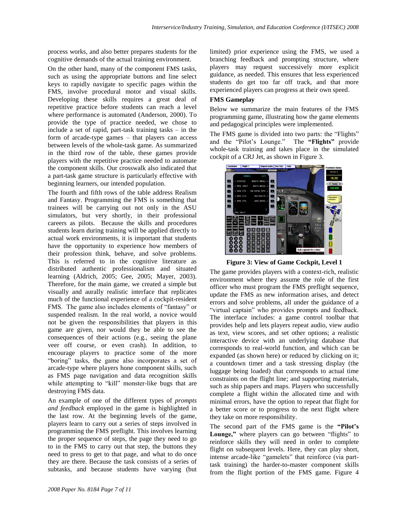process works, and also better prepares students for the cognitive demands of the actual training environment.

On the other hand, many of the component FMS tasks, such as using the appropriate buttons and line select keys to rapidly navigate to specific pages within the FMS, involve procedural motor and visual skills. Developing these skills requires a great deal of repetitive practice before students can reach a level where performance is automated (Anderson, 2000). To provide the type of practice needed, we chose to include a set of rapid, part-task training tasks – in the form of arcade-type games – that players can access between levels of the whole-task game. As summarized in the third row of the table, these games provide players with the repetitive practice needed to automate the component skills. Our crosswalk also indicated that a part-task game structure is particularly effective with beginning learners, our intended population.

The fourth and fifth rows of the table address Realism and Fantasy. Programming the FMS is something that trainees will be carrying out not only in the ASU simulators, but very shortly, in their professional careers as pilots. Because the skills and procedures students learn during training will be applied directly to actual work environments, it is important that students have the opportunity to experience how members of their profession think, behave, and solve problems. This is referred to in the cognitive literature as distributed authentic professionalism and situated learning (Aldrich, 2005; Gee, 2005; Mayer, 2003). Therefore, for the main game, we created a simple but visually and aurally realistic interface that replicates much of the functional experience of a cockpit-resident FMS. The game also includes elements of "fantasy" or suspended realism. In the real world, a novice would not be given the responsibilities that players in this game are given, nor would they be able to see the consequences of their actions (e.g., seeing the plane veer off course, or even crash). In addition, to encourage players to practice some of the more "boring" tasks, the game also incorporates a set of arcade-type where players hone component skills, such as FMS page navigation and data recognition skills while attempting to "kill" monster-like bugs that are destroying FMS data.

An example of one of the different types of *prompts and feedback* employed in the game is highlighted in the last row. At the beginning levels of the game, players learn to carry out a series of steps involved in programming the FMS preflight. This involves learning the proper sequence of steps, the page they need to go to in the FMS to carry out that step, the buttons they need to press to get to that page, and what to do once they are there. Because the task consists of a series of subtasks, and because students have varying (but

limited) prior experience using the FMS, we used a branching feedback and prompting structure, where players may request successively more explicit guidance, as needed. This ensures that less experienced students do get too far off track, and that more experienced players can progress at their own speed.

## **FMS Gameplay**

Below we summarize the main features of the FMS programming game, illustrating how the game elements and pedagogical principles were implemented.

The FMS game is divided into two parts: the "Flights" and the "Pilot's Lounge." The **"Flights"** provide whole-task training and takes place in the simulated cockpit of a CRJ Jet, as shown in Figure 3.



**Figure 3: View of Game Cockpit, Level 1**

The game provides players with a context-rich, realistic environment where they assume the role of the first officer who must program the FMS preflight sequence, update the FMS as new information arises, and detect errors and solve problems, all under the guidance of a "virtual captain" who provides prompts and feedback. The interface includes: a game control toolbar that provides help and lets players repeat audio, view audio as text, view scores, and set other options; a realistic interactive device with an underlying database that corresponds to real-world function, and which can be expanded (as shown here) or reduced by clicking on it; a countdown timer and a task stressing display (the luggage being loaded) that corresponds to actual time constraints on the flight line; and supporting materials, such as ship papers and maps. Players who successfully complete a flight within the allocated time and with minimal errors, have the option to repeat that flight for a better score or to progress to the next flight where they take on more responsibility.

The second part of the FMS game is the **"Pilot's**  Lounge," where players can go between "flights" to reinforce skills they will need in order to complete flight on subsequent levels. Here, they can play short, intense arcade-like "gamelets" that reinforce (via parttask training) the harder-to-master component skills from the flight portion of the FMS game. Figure 4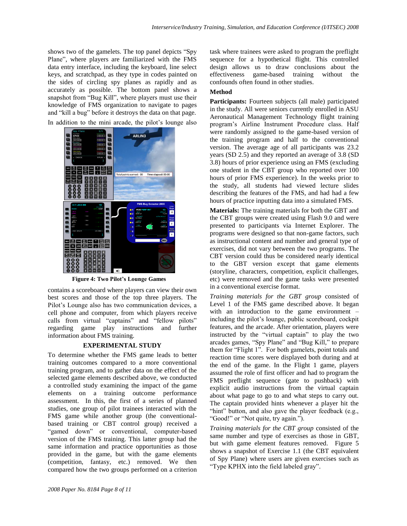shows two of the gamelets. The top panel depicts "Spy Plane", where players are familiarized with the FMS data entry interface, including the keyboard, line select keys, and scratchpad, as they type in codes painted on the sides of circling spy planes as rapidly and as accurately as possible. The bottom panel shows a snapshot from "Bug Kill", where players must use their knowledge of FMS organization to navigate to pages and "kill a bug" before it destroys the data on that page. In addition to the mini arcade, the pilot's lounge also

ARLIN3



**Figure 4: Two Pilot's Lounge Games**

contains a scoreboard where players can view their own best scores and those of the top three players. The Pilot's Lounge also has two communication devices, a cell phone and computer, from which players receive calls from virtual "captains" and "fellow pilots" regarding game play instructions and further information about FMS training.

#### **EXPERIMENTAL STUDY**

To determine whether the FMS game leads to better training outcomes compared to a more conventional training program, and to gather data on the effect of the selected game elements described above, we conducted a controlled study examining the impact of the game elements on a training outcome performance assessment. In this, the first of a series of planned studies, one group of pilot trainees interacted with the FMS game while another group (the conventionalbased training or CBT control group) received a "gamed down" or conventional, computer-based version of the FMS training. This latter group had the same information and practice opportunities as those provided in the game, but with the game elements (competition, fantasy, etc.) removed. We then compared how the two groups performed on a criterion

task where trainees were asked to program the preflight sequence for a hypothetical flight. This controlled design allows us to draw conclusions about the effectiveness game-based training without the confounds often found in other studies.

#### **Method**

**Participants:** Fourteen subjects (all male) participated in the study. All were seniors currently enrolled in ASU Aeronautical Management Technology flight training program's Airline Instrument Procedure class. Half were randomly assigned to the game-based version of the training program and half to the conventional version. The average age of all participants was 23.2 years (SD 2.5) and they reported an average of 3.8 (SD 3.8) hours of prior experience using an FMS (excluding one student in the CBT group who reported over 100 hours of prior FMS experience). In the weeks prior to the study, all students had viewed lecture slides describing the features of the FMS, and had had a few hours of practice inputting data into a simulated FMS.

**Materials:** The training materials for both the GBT and the CBT groups were created using Flash 9.0 and were presented to participants via Internet Explorer. The programs were designed so that non-game factors, such as instructional content and number and general type of exercises, did not vary between the two programs. The CBT version could thus be considered nearly identical to the GBT version except that game elements (storyline, characters, competition, explicit challenges, etc) were removed and the game tasks were presented in a conventional exercise format.

*Training materials for the GBT group* consisted of Level 1 of the FMS game described above. It began with an introduction to the game environment – including the pilot's lounge, public scoreboard, cockpit features, and the arcade. After orientation, players were instructed by the "virtual captain" to play the two arcades games, "Spy Plane" and "Bug Kill," to prepare them for "Flight 1". For both gamelets, point totals and reaction time scores were displayed both during and at the end of the game. In the Flight 1 game, players assumed the role of first officer and had to program the FMS preflight sequence (gate to pushback) with explicit audio instructions from the virtual captain about what page to go to and what steps to carry out. The captain provided hints whenever a player hit the "hint" button, and also gave the player feedback (e.g., "Good!" or "Not quite, try again.").

*Training materials for the CBT group* consisted of the same number and type of exercises as those in GBT, but with game element features removed. Figure 5 shows a snapshot of Exercise 1.1 (the CBT equivalent of Spy Plane) where users are given exercises such as "Type KPHX into the field labeled gray".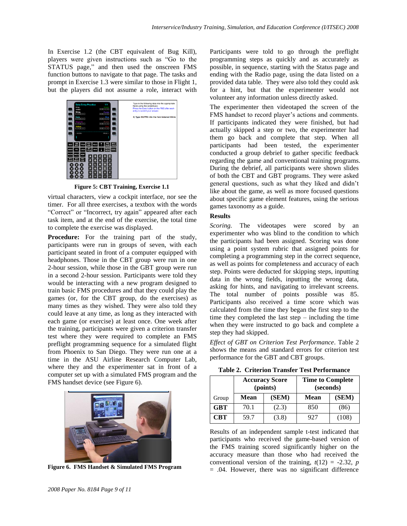In Exercise 1.2 (the CBT equivalent of Bug Kill), players were given instructions such as "Go to the STATUS page," and then used the onscreen FMS function buttons to navigate to that page. The tasks and prompt in Exercise 1.3 were similar to those in Flight 1, but the players did not assume a role, interact with



**Figure 5: CBT Training, Exercise 1.1**

virtual characters, view a cockpit interface, nor see the timer. For all three exercises, a textbox with the words "Correct" or "Incorrect, try again" appeared after each task item, and at the end of the exercise, the total time to complete the exercise was displayed.

**Procedure:** For the training part of the study, participants were run in groups of seven, with each participant seated in front of a computer equipped with headphones. Those in the CBT group were run in one 2-hour session, while those in the GBT group were run in a second 2-hour session. Participants were told they would be interacting with a new program designed to train basic FMS procedures and that they could play the games (or, for the CBT group, do the exercises) as many times as they wished. They were also told they could leave at any time, as long as they interacted with each game (or exercise) at least once. One week after the training, participants were given a criterion transfer test where they were required to complete an FMS preflight programming sequence for a simulated flight from Phoenix to San Diego. They were run one at a time in the ASU Airline Research Computer Lab, where they and the experimenter sat in front of a computer set up with a simulated FMS program and the FMS handset device (see Figure 6).



**Figure 6. FMS Handset & Simulated FMS Program**

Participants were told to go through the preflight programming steps as quickly and as accurately as possible, in sequence, starting with the Status page and ending with the Radio page, using the data listed on a provided data table. They were also told they could ask for a hint, but that the experimenter would not volunteer any information unless directly asked.

The experimenter then videotaped the screen of the FMS handset to record player's actions and comments. If participants indicated they were finished, but had actually skipped a step or two, the experimenter had them go back and complete that step. When all participants had been tested, the experimenter conducted a group debrief to gather specific feedback regarding the game and conventional training programs. During the debrief, all participants were shown slides of both the CBT and GBT programs. They were asked general questions, such as what they liked and didn't like about the game, as well as more focused questions about specific game element features, using the serious games taxonomy as a guide.

#### **Results**

*Scoring.* The videotapes were scored by an experimenter who was blind to the condition to which the participants had been assigned. Scoring was done using a point system rubric that assigned points for completing a programming step in the correct sequence, as well as points for completeness and accuracy of each step. Points were deducted for skipping steps, inputting data in the wrong fields, inputting the wrong data, asking for hints, and navigating to irrelevant screens. The total number of points possible was 85. Participants also received a time score which was calculated from the time they began the first step to the time they completed the last step  $-$  including the time when they were instructed to go back and complete a step they had skipped.

*Effect of GBT on Criterion Test Performance*. Table 2 shows the means and standard errors for criterion test performance for the GBT and CBT groups.

|  |  |  |  | <b>Table 2. Criterion Transfer Test Performance</b> |
|--|--|--|--|-----------------------------------------------------|
|--|--|--|--|-----------------------------------------------------|

|            | <b>Accuracy Score</b><br>(points) |       | <b>Time to Complete</b><br>(seconds) |       |
|------------|-----------------------------------|-------|--------------------------------------|-------|
| Group      | <b>Mean</b>                       | (SEM) | <b>Mean</b>                          | (SEM) |
| <b>GBT</b> | 70.1                              | (2.3) | 850                                  | (86)  |
| <b>CBT</b> | 59.7                              | (3.8) | 927                                  | (108) |

Results of an independent sample t-test indicated that participants who received the game-based version of the FMS training scored significantly higher on the accuracy measure than those who had received the conventional version of the training,  $t(12) = -2.32$ , *p*  $= .04$ . However, there was no significant difference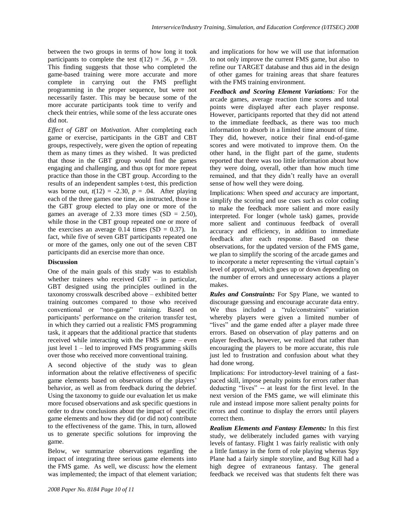between the two groups in terms of how long it took participants to complete the test  $t(12) = .56$ ,  $p = .59$ . This finding suggests that those who completed the game-based training were more accurate and more complete in carrying out the FMS preflight programming in the proper sequence, but were not necessarily faster. This may be because some of the more accurate participants took time to verify and check their entries, while some of the less accurate ones did not.

*Effect of GBT on Motivation.* After completing each game or exercise, participants in the GBT and CBT groups, respectively, were given the option of repeating them as many times as they wished. It was predicted that those in the GBT group would find the games engaging and challenging, and thus opt for more repeat practice than those in the CBT group. According to the results of an independent samples t-test, this prediction was borne out,  $t(12) = -2.30$ ,  $p = .04$ . After playing each of the three games one time, as instructed, those in the GBT group elected to play one or more of the games an average of 2.33 more times  $(SD = 2.50)$ , while those in the CBT group repeated one or more of the exercises an average  $0.14$  times (SD = 0.37). In fact, while five of seven GBT participants repeated one or more of the games, only one out of the seven CBT participants did an exercise more than once.

## **Discussion**

One of the main goals of this study was to establish whether trainees who received GBT – in particular, GBT designed using the principles outlined in the taxonomy crosswalk described above – exhibited better training outcomes compared to those who received conventional or "non-game" training. Based on participants' performance on the criterion transfer test, in which they carried out a realistic FMS programming task, it appears that the additional practice that students received while interacting with the FMS game – even just level  $1 -$  led to improved FMS programming skills over those who received more conventional training.

A second objective of the study was to glean information about the relative effectiveness of specific game elements based on observations of the players' behavior, as well as from feedback during the debrief. Using the taxonomy to guide our evaluation let us make more focused observations and ask specific questions in order to draw conclusions about the impact of specific game elements and how they did (or did not) contribute to the effectiveness of the game. This, in turn, allowed us to generate specific solutions for improving the game.

Below, we summarize observations regarding the impact of integrating three serious game elements into the FMS game. As well, we discuss: how the element was implemented; the impact of that element variation; and implications for how we will use that information to not only improve the current FMS game, but also to refine our TARGET database and thus aid in the design of other games for training areas that share features with the FMS training environment.

*Feedback and Scoring Element Variations:* For the arcade games, average reaction time scores and total points were displayed after each player response. However, participants reported that they did not attend to the immediate feedback, as there was too much information to absorb in a limited time amount of time. They did, however, notice their final end-of-game scores and were motivated to improve them. On the other hand, in the flight part of the game, students reported that there was too little information about how they were doing, overall, other than how much time remained, and that they didn't really have an overall sense of how well they were doing.

Implications: When speed *and* accuracy are important, simplify the scoring and use cues such as color coding to make the feedback more salient and more easily interpreted. For longer (whole task) games, provide more salient and continuous feedback of overall accuracy and efficiency, in addition to immediate feedback after each response. Based on these observations, for the updated version of the FMS game, we plan to simplify the scoring of the arcade games and to incorporate a meter representing the virtual captain's level of approval, which goes up or down depending on the number of errors and unnecessary actions a player makes.

*Rules and Constraints:* For Spy Plane, we wanted to discourage guessing and encourage accurate data entry. We thus included a "rule/constraints" variation whereby players were given a limited number of "lives" and the game ended after a player made three errors. Based on observation of play patterns and on player feedback, however, we realized that rather than encouraging the players to be more accurate, this rule just led to frustration and confusion about what they had done wrong.

Implications: For introductory-level training of a fastpaced skill, impose penalty points for errors rather than deducting "lives" -- at least for the first level. In the next version of the FMS game, we will eliminate this rule and instead impose more salient penalty points for errors and continue to display the errors until players correct them.

*Realism Elements and Fantasy Elements:* In this first study, we deliberately included games with varying levels of fantasy. Flight 1 was fairly realistic with only a little fantasy in the form of role playing whereas Spy Plane had a fairly simple storyline, and Bug Kill had a high degree of extraneous fantasy. The general feedback we received was that students felt there was